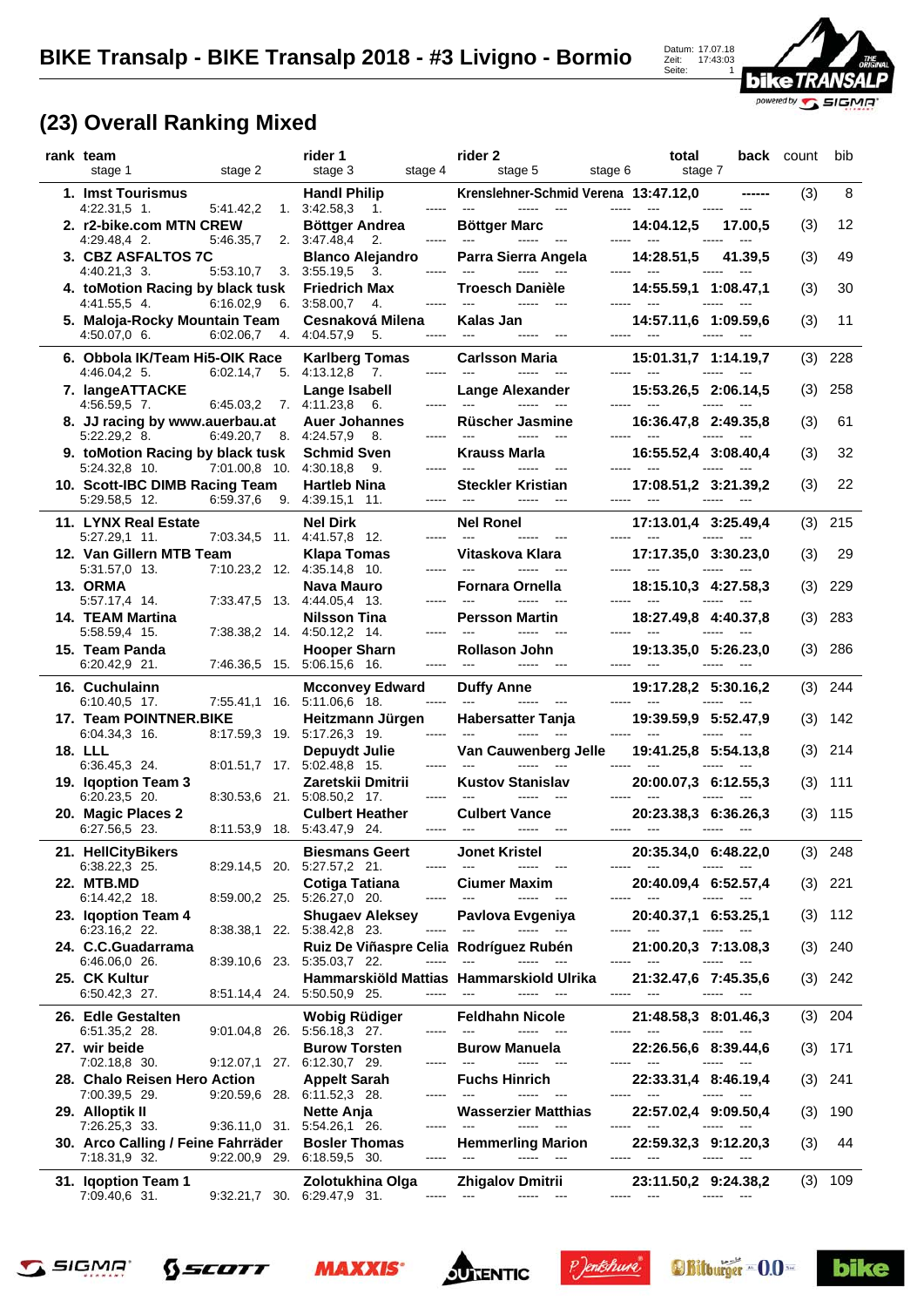

## **(23) Overall Ranking Mixed**

| rank team<br>stage 2<br>stage 1                                                         | rider 1<br>stage 4<br>stage 3                                                                 | rider 2<br>stage 5<br>stage 6                                                                                                                                                                                                                                                                                                                                                                                                                                    | total<br>stage 7                                                                           |                                                                                                                                         | <b>back</b> count | bib       |
|-----------------------------------------------------------------------------------------|-----------------------------------------------------------------------------------------------|------------------------------------------------------------------------------------------------------------------------------------------------------------------------------------------------------------------------------------------------------------------------------------------------------------------------------------------------------------------------------------------------------------------------------------------------------------------|--------------------------------------------------------------------------------------------|-----------------------------------------------------------------------------------------------------------------------------------------|-------------------|-----------|
| 1. Imst Tourismus                                                                       | <b>Handl Philip</b>                                                                           | Krenslehner-Schmid Verena 13:47.12,0                                                                                                                                                                                                                                                                                                                                                                                                                             |                                                                                            |                                                                                                                                         | (3)               | 8         |
| $4:22.31,5$ 1.<br>5:41.42,2<br>2. r2-bike.com MTN CREW                                  | 1. 3:42.58,3<br>1.<br>Böttger Andrea                                                          | <b>Böttger Marc</b>                                                                                                                                                                                                                                                                                                                                                                                                                                              | 14:04.12,5                                                                                 | 17.00,5                                                                                                                                 | (3)               | 12        |
| 4:29.48,4 2.<br>5:46.35,7<br>3. CBZ ASFALTOS 7C                                         | 2. 3:47.48,4<br>$\overline{2}$ .<br><b>Blanco Alejandro</b>                                   | Parra Sierra Angela                                                                                                                                                                                                                                                                                                                                                                                                                                              | 14:28.51.5                                                                                 | 41.39,5                                                                                                                                 | (3)               | 49        |
| 4:40.21,3 3.<br>5:53.10,7<br>4. toMotion Racing by black tusk                           | 3.3:55.19,5<br>3.<br>-----<br><b>Friedrich Max</b>                                            | $- - - - -$<br>$---$<br><b>Troesch Danièle</b>                                                                                                                                                                                                                                                                                                                                                                                                                   | 14:55.59,1 1:08.47,1                                                                       |                                                                                                                                         | (3)               | 30        |
| 6:16.02,9<br>4:41.55,5 4.<br>5. Maloja-Rocky Mountain Team<br>4:50.07,0 6.<br>6:02.06,7 | 3:58.00,7<br>6.<br>4.<br>Cesnaková Milena<br>4:04.57,9<br>4.<br>5.<br>-----                   | Kalas Jan                                                                                                                                                                                                                                                                                                                                                                                                                                                        | 14:57.11,6 1:09.59,6                                                                       |                                                                                                                                         | (3)               | 11        |
| 6. Obbola IK/Team Hi5-OIK Race<br>6:02.14,7<br>4:46.04,2 5.                             | <b>Karlberg Tomas</b><br>4:13.12,8<br>$\overline{7}$ .<br>5.<br>-----                         | Carlsson Maria<br>$\begin{array}{ccc} - & - & - & - \\ - & - & - & - \end{array}$<br>$\frac{1}{2}$                                                                                                                                                                                                                                                                                                                                                               | 15:01.31,7 1:14.19,7                                                                       |                                                                                                                                         | (3)               | 228       |
| 7. langeATTACKE<br>4:56.59.5 7.<br>6:45.03,2                                            | Lange Isabell<br>7. 4.11.23,8<br>6.<br>-----                                                  | <b>Lange Alexander</b><br>$---$<br>$\overline{a}$                                                                                                                                                                                                                                                                                                                                                                                                                | 15:53.26,5 2:06.14,5                                                                       |                                                                                                                                         | (3)               | 258       |
| 8. JJ racing by www.auerbau.at<br>$6:49.20,7$ 8.<br>$5:22.29,2$ 8.                      | <b>Auer Johannes</b><br>4:24.57,9<br>8.                                                       | <b>Rüscher Jasmine</b>                                                                                                                                                                                                                                                                                                                                                                                                                                           | 16:36.47,8 2:49.35,8                                                                       |                                                                                                                                         | (3)               | 61        |
| 9. toMotion Racing by black tusk<br>7:01.00,8 10.<br>5:24.32,8 10.                      | <b>Schmid Sven</b><br>4:30.18,8<br>9.<br>-----                                                | Krauss Marla<br>$---$<br>-----                                                                                                                                                                                                                                                                                                                                                                                                                                   | 16:55.52,4 3:08.40,4                                                                       |                                                                                                                                         | (3)               | 32        |
| 10. Scott-IBC DIMB Racing Team<br>6:59.37,6<br>5:29.58.5 12.                            | <b>Hartleb Nina</b><br>9. 4:39.15,1 11.<br>-----                                              | <b>Steckler Kristian</b><br>$\begin{array}{ccc} - & - & - & - \\ - & - & - & - \end{array}$                                                                                                                                                                                                                                                                                                                                                                      | 17:08.51,2 3:21.39,2<br>$\sim$ $\sim$                                                      |                                                                                                                                         | (3)               | 22        |
| 11. LYNX Real Estate                                                                    | <b>Nel Dirk</b><br>7:03.34,5 11. 4:41.57,8 12.                                                | <b>Nel Ronel</b><br>$\frac{1}{2}$                                                                                                                                                                                                                                                                                                                                                                                                                                | 17:13.01,4 3:25.49,4                                                                       |                                                                                                                                         | (3)               | 215       |
| 5:27.29,1 11.<br>12. Van Gillern MTB Team                                               | -----<br><b>Klapa Tomas</b><br>-----                                                          | Vitaskova Klara<br>$\frac{1}{2}$<br>$---$                                                                                                                                                                                                                                                                                                                                                                                                                        | 17:17.35,0 3:30.23,0<br>$---$                                                              |                                                                                                                                         | (3)               | 29        |
| 5:31.57,0 13.<br>13. ORMA                                                               | 7:10.23,2 12. 4:35.14,8 10.<br>Nava Mauro<br>4:44.05,4 13.<br>-----                           | <b>Fornara Ornella</b><br>$\frac{1}{2}$                                                                                                                                                                                                                                                                                                                                                                                                                          | 18:15.10,3 4:27.58,3                                                                       |                                                                                                                                         | (3)               | 229       |
| 5:57.17,4 14.<br>7:33.47,5 13.<br>14. TEAM Martina<br>5:58.59,4 15.                     | <b>Nilsson Tina</b><br>7:38.38,2 14. 4:50.12,2 14.<br>-----                                   | <b>Persson Martin</b>                                                                                                                                                                                                                                                                                                                                                                                                                                            | 18:27.49.8 4:40.37.8                                                                       | $- - - - -$                                                                                                                             | (3)               | 283       |
| 15. Team Panda<br>6:20.42,9 21.                                                         | <b>Hooper Sharn</b><br>7:46.36,5 15. 5:06.15,6 16.<br>-----                                   | <b>Rollason John</b><br>$\frac{1}{2}$<br>-----                                                                                                                                                                                                                                                                                                                                                                                                                   | 19:13.35,0 5:26.23,0                                                                       |                                                                                                                                         | (3)               | 286       |
| 16. Cuchulainn<br>6:10.40,5 17.                                                         | <b>Mcconvey Edward</b><br>7:55.41,1 16. 5:11.06,6 18.<br>-----                                | <b>Duffy Anne</b>                                                                                                                                                                                                                                                                                                                                                                                                                                                | 19:17.28,2 5:30.16,2                                                                       |                                                                                                                                         | (3)               | 244       |
| 17. Team POINTNER.BIKE<br>6:04.34,3 16.                                                 | Heitzmann Jürgen<br>8:17.59,3 19. 5:17.26,3 19.                                               | <b>Habersatter Tanja</b>                                                                                                                                                                                                                                                                                                                                                                                                                                         | 19:39.59,9 5:52.47,9                                                                       |                                                                                                                                         | (3)               | 142       |
| <b>18. LLL</b><br>6:36.45,3 24.<br>$8:01.51,7$ 17.                                      | Depuydt Julie<br>5:02.48,8 15.<br>-----                                                       | Van Cauwenberg Jelle                                                                                                                                                                                                                                                                                                                                                                                                                                             | 19:41.25,8 5:54.13,8                                                                       |                                                                                                                                         | (3)               | 214       |
| 19. Igoption Team 3<br>6:20.23,5 20.                                                    | Zaretskii Dmitrii<br>8:30.53,6 21. 5:08.50,2 17.<br>-----                                     | <b>Kustov Stanislav</b>                                                                                                                                                                                                                                                                                                                                                                                                                                          | 20:00.07.3 6:12.55.3                                                                       |                                                                                                                                         | (3)               | 111       |
| 20. Magic Places 2<br>6:27.56.5 23.                                                     | <b>Culbert Heather</b><br>8:11.53,9 18. 5:43.47,9 24.                                         | <b>Culbert Vance</b><br>-----                                                                                                                                                                                                                                                                                                                                                                                                                                    | 20:23.38,3 6:36.26,3<br>$\sim$ $\sim$ $\sim$                                               |                                                                                                                                         | (3)               | 115       |
| 21. HellCityBikers                                                                      | <b>Biesmans Geert</b>                                                                         | <b>Jonet Kristel</b>                                                                                                                                                                                                                                                                                                                                                                                                                                             | 20:35.34,0 6:48.22,0                                                                       |                                                                                                                                         |                   | $(3)$ 248 |
| 6:38.22,3 25.<br><b>22. MTB.MD</b>                                                      | 8:29.14,5 20. 5:27.57,2 21.<br>-----<br>Cotiga Tatiana                                        | $\sim$ $\sim$ $\sim$<br>$\cdots \cdots \cdots$<br><b>Ciumer Maxim</b>                                                                                                                                                                                                                                                                                                                                                                                            | ----- ---<br>20:40.09,4 6:52.57,4                                                          | $\cdots \cdots \cdots$<br>$- - -$                                                                                                       | (3)               | 221       |
| 6:14.42,2 18.<br>23. Iqoption Team 4                                                    | 8:59.00,2 25. 5:26.27,0 20.<br><b>Shugaev Aleksey</b>                                         | $\overline{\phantom{a}}$<br>$\cdots$<br>$\sim$<br>Pavlova Evgeniya                                                                                                                                                                                                                                                                                                                                                                                               | ----- ---<br>20:40.37,1 6:53.25,1                                                          | -----<br>$\sim$ $\sim$                                                                                                                  | (3)               | - 112     |
| 6:23.16,2 22.<br>24. C.C.Guadarrama                                                     | 8:38.38,1 22. 5:38.42,8 23.<br>-----<br>Ruiz De Viñaspre Celia Rodríguez Rubén                | $\begin{array}{ccc} - & - & - & - & - \\ - & - & - & - \end{array}$<br>$\cdots$                                                                                                                                                                                                                                                                                                                                                                                  | ----- ---<br>21:00.20,3 7:13.08,3                                                          |                                                                                                                                         | (3)               | 240       |
| 6:46.06,0 26.<br>25. CK Kultur<br>6:50.42,3 27.                                         | 8:39.10,6 23. 5:35.03,7 22.<br>-----<br>8:51.14,4 24. 5:50.50,9 25.<br>-----                  | $\sim$ $\sim$<br>Hammarskiöld Mattias Hammarskiold Ulrika<br>$\sim$ $\sim$                                                                                                                                                                                                                                                                                                                                                                                       | $\sim$ 0.000 $\pm$<br>21:32.47,6 7:45.35,6<br>----- ---                                    | $\cdots$<br>$- - -$<br>$\cdots \cdots \cdots$                                                                                           |                   | $(3)$ 242 |
| 26. Edle Gestalten                                                                      | Wobig Rüdiger<br>9:01.04,8 26. 5:56.18,3 27.                                                  | <b>Feldhahn Nicole</b><br>$\sim$                                                                                                                                                                                                                                                                                                                                                                                                                                 | 21:48.58,3 8:01.46,3                                                                       | $- - - - -$                                                                                                                             |                   | $(3)$ 204 |
| 6:51.35,2 28.<br>27. wir beide                                                          | <b>Burow Torsten</b>                                                                          | <b>Burow Manuela</b><br>$\begin{array}{ccc} - & - & - \\ - & - & - \end{array}$<br>----- ---                                                                                                                                                                                                                                                                                                                                                                     | 22:26.56,6 8:39.44,6<br>----- ---                                                          | $\begin{array}{ccc} \texttt{m} & \texttt{m} & \texttt{m} & \texttt{m} \\ \texttt{m} & \texttt{m} & \texttt{m} & \texttt{m} \end{array}$ | (3)               | -171      |
| 7:02.18,8 30.<br>28. Chalo Reisen Hero Action                                           | 9:12.07,1 27. 6:12.30,7 29.<br><b>Appelt Sarah</b><br>-----                                   | <b>Fuchs Hinrich</b><br>$\sim$ $\sim$<br>----- ---                                                                                                                                                                                                                                                                                                                                                                                                               | 22:33.31,4 8:46.19,4                                                                       |                                                                                                                                         | (3)               | 241       |
| 7:00.39,5 29.<br>29. Alloptik II                                                        | 9:20.59,6 28. 6:11.52,3 28.<br>Nette Anja                                                     | Wasserzier Matthias<br>$\sim$ $\sim$                                                                                                                                                                                                                                                                                                                                                                                                                             | $\sim$ $\sim$<br>22:57.02,4 9:09.50,4                                                      |                                                                                                                                         | (3)               | 190       |
| 7:26.25,3 33.<br>30. Arco Calling / Feine Fahrräder<br>7:18.31,9 32.                    | 9:36.11,0 31. 5:54.26,1 26.<br><b>Bosler Thomas</b><br>$9:22.00,9$ 29. 6:18.59,5 30.<br>----- | <b>Hemmerling Marion</b><br>$\sim$ $-$<br>$\begin{array}{ccc} \textcolor{blue}{\textbf{1}} & \textcolor{blue}{\textbf{2}} & \textcolor{blue}{\textbf{3}} & \textcolor{blue}{\textbf{2}} & \textcolor{blue}{\textbf{3}} & \textcolor{blue}{\textbf{4}} \\ \textcolor{blue}{\textbf{5}} & \textcolor{blue}{\textbf{1}} & \textcolor{blue}{\textbf{2}} & \textcolor{blue}{\textbf{3}} & \textcolor{blue}{\textbf{3}} & \textcolor{blue}{\textbf{4}} \\ \end{array}$ | ----- ---<br>22:59.32,3 9:12.20,3<br>----- ---                                             | -----<br>$\cdots \cdots \cdots$<br>$\sim$ $\sim$                                                                                        | (3)               | 44        |
| 31. Iqoption Team 1<br>7:09.40,6 31.                                                    | Zolotukhina Olga<br>9:32.21,7 30. 6:29.47,9 31.                                               | <b>Zhigalov Dmitrii</b><br>----- ---<br>----- ---                                                                                                                                                                                                                                                                                                                                                                                                                | 23:11.50,2 9:24.38,2<br>$\begin{array}{ccc} \texttt{} & \texttt{} & \texttt{} \end{array}$ | $\cdots \cdots \cdots$                                                                                                                  |                   | $(3)$ 109 |